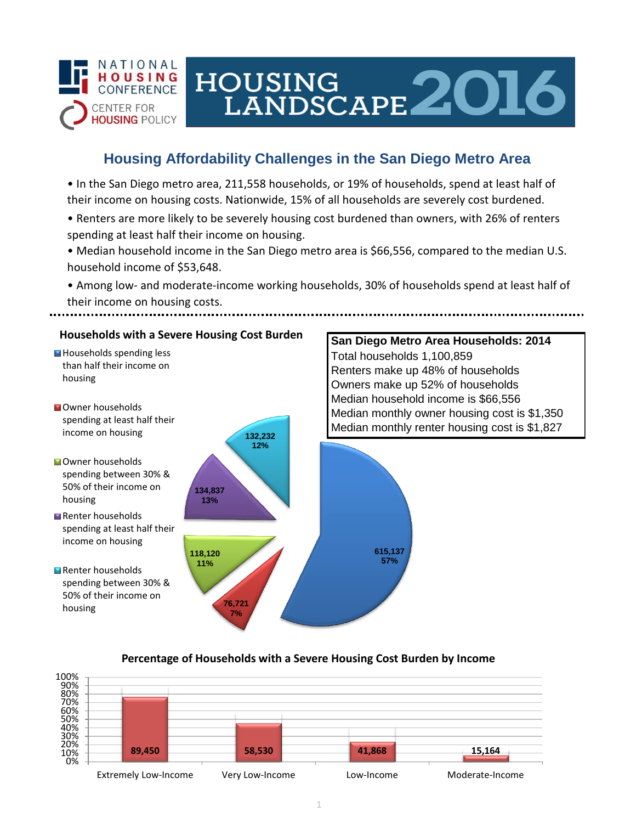

# HOUSING LANDSCAPE 2016

## **Housing Affordability Challenges in the San Diego Metro Area**

• In the San Diego metro area, 211,558 households, or 19% of households, spend at least half of their income on housing costs. Nationwide, 15% of all households are severely cost burdened.

- Renters are more likely to be severely housing cost burdened than owners, with 26% of renters spending at least half their income on housing.
- Median household income in the San Diego metro area is \$66,556, compared to the median U.S. household income of \$53,648.
- Among low- and moderate-income working households, 30% of households spend at least half of their income on housing costs.



### **Percentage of Households with a Severe Housing Cost Burden by Income**